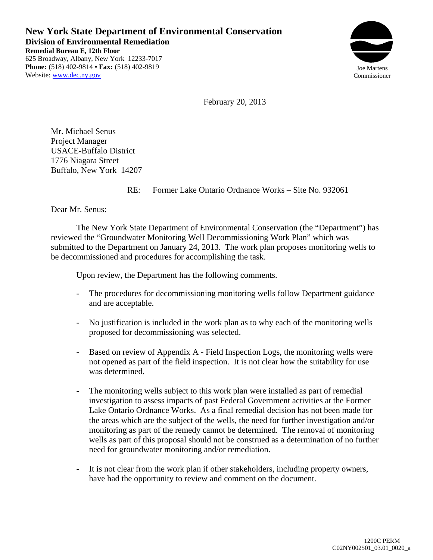**New York State Department of Environmental Conservation Division of Environmental Remediation Remedial Bureau E, 12th Floor**  625 Broadway, Albany, New York 12233-7017 **Phone:** (518) 402-9814 **• Fax:** (518) 402-9819 Website: www.dec.ny.gov



February 20, 2013

Mr. Michael Senus Project Manager USACE-Buffalo District 1776 Niagara Street Buffalo, New York 14207

RE: Former Lake Ontario Ordnance Works – Site No. 932061

Dear Mr. Senus:

The New York State Department of Environmental Conservation (the "Department") has reviewed the "Groundwater Monitoring Well Decommissioning Work Plan" which was submitted to the Department on January 24, 2013. The work plan proposes monitoring wells to be decommissioned and procedures for accomplishing the task.

Upon review, the Department has the following comments.

- The procedures for decommissioning monitoring wells follow Department guidance and are acceptable.
- No justification is included in the work plan as to why each of the monitoring wells proposed for decommissioning was selected.
- Based on review of Appendix A Field Inspection Logs, the monitoring wells were not opened as part of the field inspection. It is not clear how the suitability for use was determined.
- The monitoring wells subject to this work plan were installed as part of remedial investigation to assess impacts of past Federal Government activities at the Former Lake Ontario Ordnance Works. As a final remedial decision has not been made for the areas which are the subject of the wells, the need for further investigation and/or monitoring as part of the remedy cannot be determined. The removal of monitoring wells as part of this proposal should not be construed as a determination of no further need for groundwater monitoring and/or remediation.
- It is not clear from the work plan if other stakeholders, including property owners, have had the opportunity to review and comment on the document.